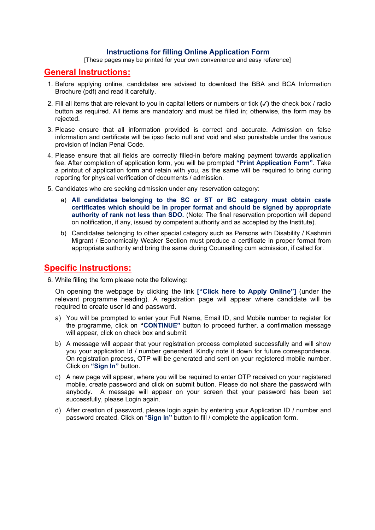## Instructions for filling Online Application Form

[These pages may be printed for your own convenience and easy reference]

## General Instructions:

- 1. Before applying online, candidates are advised to download the BBA and BCA Information Brochure (pdf) and read it carefully.
- 2. Fill all items that are relevant to you in capital letters or numbers or tick (✓) the check box / radio button as required. All items are mandatory and must be filled in; otherwise, the form may be rejected.
- 3. Please ensure that all information provided is correct and accurate. Admission on false information and certificate will be ipso facto null and void and also punishable under the various provision of Indian Penal Code.
- 4. Please ensure that all fields are correctly filled-in before making payment towards application fee. After completion of application form, you will be prompted "Print Application Form". Take a printout of application form and retain with you, as the same will be required to bring during reporting for physical verification of documents / admission.
- 5. Candidates who are seeking admission under any reservation category:
	- a) All candidates belonging to the SC or ST or BC category must obtain caste certificates which should be in proper format and should be signed by appropriate authority of rank not less than SDO. (Note: The final reservation proportion will depend on notification, if any, issued by competent authority and as accepted by the Institute).
	- b) Candidates belonging to other special category such as Persons with Disability / Kashmiri Migrant / Economically Weaker Section must produce a certificate in proper format from appropriate authority and bring the same during Counselling cum admission, if called for.

## Specific Instructions:

6. While filling the form please note the following:

On opening the webpage by clicking the link ["Click here to Apply Online"] (under the relevant programme heading). A registration page will appear where candidate will be required to create user Id and password.

- a) You will be prompted to enter your Full Name, Email ID, and Mobile number to register for the programme, click on "CONTINUE" button to proceed further, a confirmation message will appear, click on check box and submit.
- b) A message will appear that your registration process completed successfully and will show you your application Id / number generated. Kindly note it down for future correspondence. On registration process, OTP will be generated and sent on your registered mobile number. Click on "Sign In" button.
- c) A new page will appear, where you will be required to enter OTP received on your registered mobile, create password and click on submit button. Please do not share the password with anybody. A message will appear on your screen that your password has been set successfully, please Login again.
- d) After creation of password, please login again by entering your Application ID / number and password created. Click on "Sign In" button to fill / complete the application form.